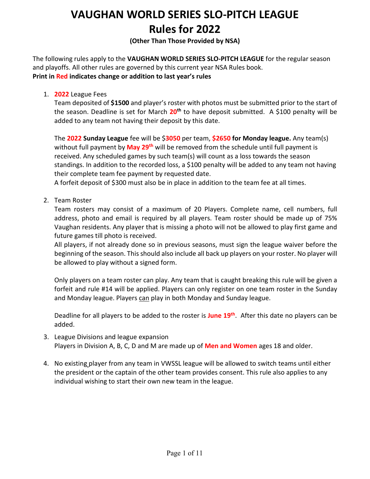### **(Other Than Those Provided by NSA)**

The following rules apply to the **VAUGHAN WORLD SERIES SLO-PITCH LEAGUE** for the regular season and playoffs. All other rules are governed by this current year NSA Rules book. **Print in Red indicates change or addition to last year's rules**

1. **2022** League Fees

Team deposited of **\$1500** and player's roster with photos must be submitted prior to the start of the season. Deadline is set for March **20th** to have deposit submitted. A \$100 penalty will be added to any team not having their deposit by this date.

The **2022 Sunday League** fee will be \$**3050** per team, **\$2650 for Monday league.** Any team(s) without full payment by **May 29th** will be removed from the schedule until full payment is received. Any scheduled games by such team(s) will count as a loss towards the season standings. In addition to the recorded loss, a \$100 penalty will be added to any team not having their complete team fee payment by requested date.

A forfeit deposit of \$300 must also be in place in addition to the team fee at all times.

2. Team Roster

Team rosters may consist of a maximum of 20 Players. Complete name, cell numbers, full address, photo and email is required by all players. Team roster should be made up of 75% Vaughan residents. Any player that is missing a photo will not be allowed to play first game and future games till photo is received.

All players, if not already done so in previous seasons, must sign the league waiver before the beginning of the season. This should also include all back up players on your roster. No player will be allowed to play without a signed form.

Only players on a team roster can play. Any team that is caught breaking this rule will be given a forfeit and rule #14 will be applied. Players can only register on one team roster in the Sunday and Monday league. Players can play in both Monday and Sunday league.

Deadline for all players to be added to the roster is **June 19th**. After this date no players can be added.

- 3. League Divisions and league expansion Players in Division A, B, C, D and M are made up of **Men and Women** ages 18 and older.
- 4. No existing player from any team in VWSSL league will be allowed to switch teams until either the president or the captain of the other team provides consent. This rule also applies to any individual wishing to start their own new team in the league.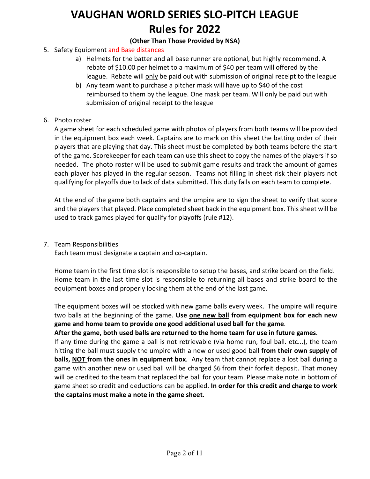### **(Other Than Those Provided by NSA)**

- 5. Safety Equipment and Base distances
	- a) Helmets for the batter and all base runner are optional, but highly recommend. A rebate of \$10.00 per helmet to a maximum of \$40 per team will offered by the league. Rebate will only be paid out with submission of original receipt to the league
	- b) Any team want to purchase a pitcher mask will have up to \$40 of the cost reimbursed to them by the league. One mask per team. Will only be paid out with submission of original receipt to the league
- 6. Photo roster

A game sheet for each scheduled game with photos of players from both teams will be provided in the equipment box each week. Captains are to mark on this sheet the batting order of their players that are playing that day. This sheet must be completed by both teams before the start of the game. Scorekeeper for each team can use this sheet to copy the names of the players if so needed. The photo roster will be used to submit game results and track the amount of games each player has played in the regular season. Teams not filling in sheet risk their players not qualifying for playoffs due to lack of data submitted. This duty falls on each team to complete.

At the end of the game both captains and the umpire are to sign the sheet to verify that score and the players that played. Place completed sheet back in the equipment box. This sheet will be used to track games played for qualify for playoffs (rule #12).

7. Team Responsibilities

Each team must designate a captain and co-captain.

Home team in the first time slot is responsible to setup the bases, and strike board on the field. Home team in the last time slot is responsible to returning all bases and strike board to the equipment boxes and properly locking them at the end of the last game.

The equipment boxes will be stocked with new game balls every week. The umpire will require two balls at the beginning of the game. **Use one new ball from equipment box for each new game and home team to provide one good additional used ball for the game**.

### **After the game, both used balls are returned to the home team for use in future games**.

If any time during the game a ball is not retrievable (via home run, foul ball. etc...), the team hitting the ball must supply the umpire with a new or used good ball **from their own supply of balls, NOT from the ones in equipment box**. Any team that cannot replace a lost ball during a game with another new or used ball will be charged \$6 from their forfeit deposit. That money will be credited to the team that replaced the ball for your team. Please make note in bottom of game sheet so credit and deductions can be applied. **In order for this credit and charge to work the captains must make a note in the game sheet.**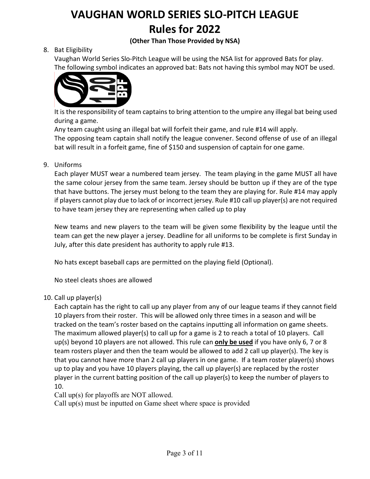### **(Other Than Those Provided by NSA)**

### 8. Bat Eligibility

Vaughan World Series Slo-Pitch League will be using the NSA list for approved Bats for play. The following symbol indicates an approved bat: Bats not having this symbol may NOT be used.



It is the responsibility of team captains to bring attention to the umpire any illegal bat being used during a game.

Any team caught using an illegal bat will forfeit their game, and rule #14 will apply. The opposing team captain shall notify the league convener. Second offense of use of an illegal bat will result in a forfeit game, fine of \$150 and suspension of captain for one game.

#### 9. Uniforms

Each player MUST wear a numbered team jersey. The team playing in the game MUST all have the same colour jersey from the same team. Jersey should be button up if they are of the type that have buttons. The jersey must belong to the team they are playing for. Rule #14 may apply if players cannot play due to lack of or incorrect jersey. Rule #10 call up player(s) are not required to have team jersey they are representing when called up to play

New teams and new players to the team will be given some flexibility by the league until the team can get the new player a jersey. Deadline for all uniforms to be complete is first Sunday in July, after this date president has authority to apply rule #13.

No hats except baseball caps are permitted on the playing field (Optional).

No steel cleats shoes are allowed

#### 10. Call up player(s)

Each captain has the right to call up any player from any of our league teams if they cannot field 10 players from their roster. This will be allowed only three times in a season and will be tracked on the team's roster based on the captains inputting all information on game sheets. The maximum allowed player(s) to call up for a game is 2 to reach a total of 10 players. Call up(s) beyond 10 players are not allowed. This rule can **only be used** if you have only 6, 7 or 8 team rosters player and then the team would be allowed to add 2 call up player(s). The key is that you cannot have more than 2 call up players in one game. If a team roster player(s) shows up to play and you have 10 players playing, the call up player(s) are replaced by the roster player in the current batting position of the call up player(s) to keep the number of players to 10.

Call up(s) for playoffs are NOT allowed.

Call up(s) must be inputted on Game sheet where space is provided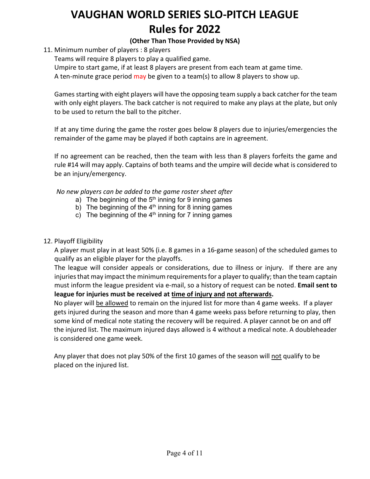### **(Other Than Those Provided by NSA)**

### 11. Minimum number of players : 8 players

Teams will require 8 players to play a qualified game.

Umpire to start game, if at least 8 players are present from each team at game time.

A ten-minute grace period may be given to a team(s) to allow 8 players to show up.

Games starting with eight players will have the opposing team supply a back catcher for the team with only eight players. The back catcher is not required to make any plays at the plate, but only to be used to return the ball to the pitcher.

If at any time during the game the roster goes below 8 players due to injuries/emergencies the remainder of the game may be played if both captains are in agreement.

If no agreement can be reached, then the team with less than 8 players forfeits the game and rule #14 will may apply. Captains of both teams and the umpire will decide what is considered to be an injury/emergency.

*No new players can be added to the game roster sheet after*

- a) The beginning of the  $5<sup>th</sup>$  inning for 9 inning games
- b) The beginning of the  $4<sup>th</sup>$  inning for 8 inning games
- c) The beginning of the  $4<sup>th</sup>$  inning for 7 inning games

### 12. Playoff Eligibility

A player must play in at least 50% (i.e. 8 games in a 16-game season) of the scheduled games to qualify as an eligible player for the playoffs.

The league will consider appeals or considerations, due to illness or injury. If there are any injuries that may impact the minimum requirements for a player to qualify; than the team captain must inform the league president via e-mail, so a history of request can be noted. **Email sent to league for injuries must be received at time of injury and not afterwards.**

No player will be allowed to remain on the injured list for more than 4 game weeks. If a player gets injured during the season and more than 4 game weeks pass before returning to play, then some kind of medical note stating the recovery will be required. A player cannot be on and off the injured list. The maximum injured days allowed is 4 without a medical note. A doubleheader is considered one game week.

Any player that does not play 50% of the first 10 games of the season will not qualify to be placed on the injured list.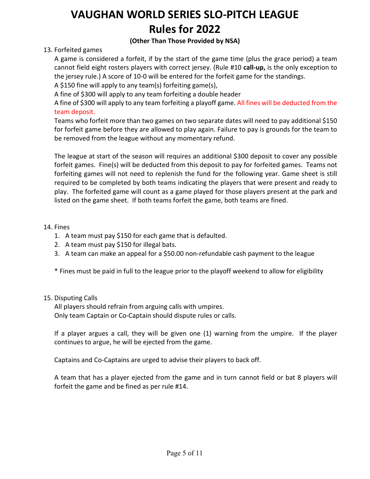### **(Other Than Those Provided by NSA)**

### 13. Forfeited games

A game is considered a forfeit, if by the start of the game time (plus the grace period) a team cannot field eight rosters players with correct jersey. (Rule #10 **call-up,** is the only exception to the jersey rule.) A score of 10-0 will be entered for the forfeit game for the standings.

A \$150 fine will apply to any team(s) forfeiting game(s),

A fine of \$300 will apply to any team forfeiting a double header

A fine of \$300 will apply to any team forfeiting a playoff game. All fines will be deducted from the team deposit.

Teams who forfeit more than two games on two separate dates will need to pay additional \$150 for forfeit game before they are allowed to play again. Failure to pay is grounds for the team to be removed from the league without any momentary refund.

The league at start of the season will requires an additional \$300 deposit to cover any possible forfeit games. Fine(s) will be deducted from this deposit to pay for forfeited games. Teams not forfeiting games will not need to replenish the fund for the following year. Game sheet is still required to be completed by both teams indicating the players that were present and ready to play. The forfeited game will count as a game played for those players present at the park and listed on the game sheet. If both teams forfeit the game, both teams are fined.

### 14. Fines

- 1. A team must pay \$150 for each game that is defaulted.
- 2. A team must pay \$150 for illegal bats.
- 3. A team can make an appeal for a \$50.00 non-refundable cash payment to the league

\* Fines must be paid in full to the league prior to the playoff weekend to allow for eligibility

### 15. Disputing Calls

All players should refrain from arguing calls with umpires. Only team Captain or Co-Captain should dispute rules or calls.

If a player argues a call, they will be given one (1) warning from the umpire. If the player continues to argue, he will be ejected from the game.

Captains and Co-Captains are urged to advise their players to back off.

A team that has a player ejected from the game and in turn cannot field or bat 8 players will forfeit the game and be fined as per rule #14.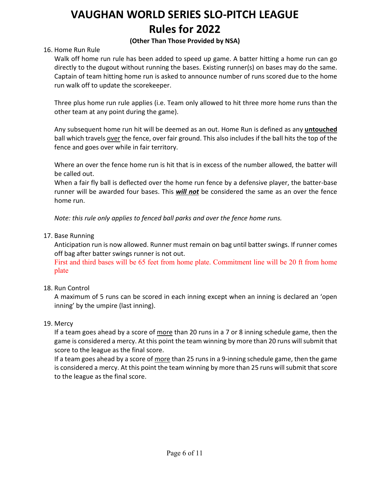### **(Other Than Those Provided by NSA)**

### 16. Home Run Rule

Walk off home run rule has been added to speed up game. A batter hitting a home run can go directly to the dugout without running the bases. Existing runner(s) on bases may do the same. Captain of team hitting home run is asked to announce number of runs scored due to the home run walk off to update the scorekeeper.

Three plus home run rule applies (i.e. Team only allowed to hit three more home runs than the other team at any point during the game).

Any subsequent home run hit will be deemed as an out. Home Run is defined as any **untouched** ball which travels over the fence, over fair ground. This also includes if the ball hits the top of the fence and goes over while in fair territory.

Where an over the fence home run is hit that is in excess of the number allowed, the batter will be called out.

When a fair fly ball is deflected over the home run fence by a defensive player, the batter-base runner will be awarded four bases. This *will not* be considered the same as an over the fence home run.

*Note: this rule only applies to fenced ball parks and over the fence home runs.*

17. Base Running

Anticipation run is now allowed. Runner must remain on bag until batter swings. If runner comes off bag after batter swings runner is not out.

First and third bases will be 65 feet from home plate. Commitment line will be 20 ft from home plate

### 18. Run Control

A maximum of 5 runs can be scored in each inning except when an inning is declared an 'open inning' by the umpire (last inning).

#### 19. Mercy

If a team goes ahead by a score of more than 20 runs in a 7 or 8 inning schedule game, then the game is considered a mercy. At this point the team winning by more than 20 runs will submit that score to the league as the final score.

If a team goes ahead by a score of more than 25 runs in a 9-inning schedule game, then the game is considered a mercy. At this point the team winning by more than 25 runs will submit that score to the league as the final score.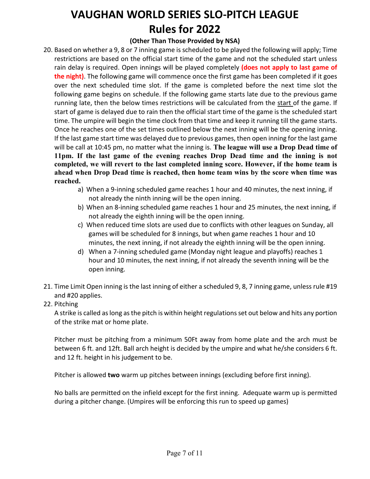### **(Other Than Those Provided by NSA)**

- 20. Based on whether a 9, 8 or 7 inning game is scheduled to be played the following will apply; Time restrictions are based on the official start time of the game and not the scheduled start unless rain delay is required. Open innings will be played completely **(does not apply to last game of the night)**. The following game will commence once the first game has been completed if it goes over the next scheduled time slot. If the game is completed before the next time slot the following game begins on schedule. If the following game starts late due to the previous game running late, then the below times restrictions will be calculated from the start of the game. If start of game is delayed due to rain then the official start time of the game is the scheduled start time. The umpire will begin the time clock from that time and keep it running till the game starts. Once he reaches one of the set times outlined below the next inning will be the opening inning. If the last game start time was delayed due to previous games, then open inning for the last game will be call at 10:45 pm, no matter what the inning is. **The league will use a Drop Dead time of 11pm. If the last game of the evening reaches Drop Dead time and the inning is not completed, we will revert to the last completed inning score. However, if the home team is ahead when Drop Dead time is reached, then home team wins by the score when time was reached.**
	- a) When a 9-inning scheduled game reaches 1 hour and 40 minutes, the next inning, if not already the ninth inning will be the open inning.
	- b) When an 8-inning scheduled game reaches 1 hour and 25 minutes, the next inning, if not already the eighth inning will be the open inning.
	- c) When reduced time slots are used due to conflicts with other leagues on Sunday, all games will be scheduled for 8 innings, but when game reaches 1 hour and 10 minutes, the next inning, if not already the eighth inning will be the open inning.
	- d) When a 7-inning scheduled game (Monday night league and playoffs) reaches 1 hour and 10 minutes, the next inning, if not already the seventh inning will be the open inning.
- 21. Time Limit Open inning is the last inning of either a scheduled 9, 8, 7 inning game, unless rule #19 and #20 applies.
- 22. Pitching

A strike is called as long as the pitch is within height regulations set out below and hits any portion of the strike mat or home plate.

Pitcher must be pitching from a minimum 50Ft away from home plate and the arch must be between 6 ft. and 12ft. Ball arch height is decided by the umpire and what he/she considers 6 ft. and 12 ft. height in his judgement to be.

Pitcher is allowed **two** warm up pitches between innings (excluding before first inning).

No balls are permitted on the infield except for the first inning. Adequate warm up is permitted during a pitcher change. (Umpires will be enforcing this run to speed up games)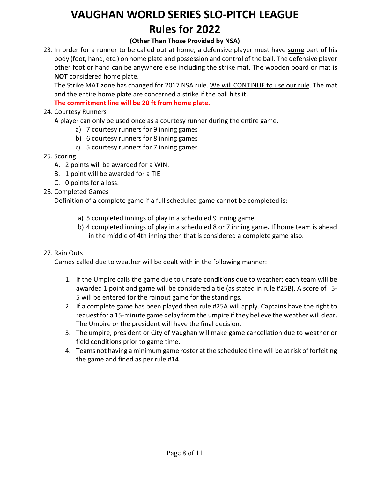### **(Other Than Those Provided by NSA)**

23. In order for a runner to be called out at home, a defensive player must have **some** part of his body (foot, hand, etc.) on home plate and possession and control of the ball. The defensive player other foot or hand can be anywhere else including the strike mat. The wooden board or mat is **NOT** considered home plate.

The Strike MAT zone has changed for 2017 NSA rule. We will CONTINUE to use our rule. The mat and the entire home plate are concerned a strike if the ball hits it.

**The commitment line will be 20 ft from home plate.**

### 24. Courtesy Runners

A player can only be used once as a courtesy runner during the entire game.

- a) 7 courtesy runners for 9 inning games
- b) 6 courtesy runners for 8 inning games
- c) 5 courtesy runners for 7 inning games

### 25. Scoring

- A. 2 points will be awarded for a WIN.
- B. 1 point will be awarded for a TIE
- C. 0 points for a loss.
- 26. Completed Games

Definition of a complete game if a full scheduled game cannot be completed is:

- a) 5 completed innings of play in a scheduled 9 inning game
- b) 4 completed innings of play in a scheduled 8 or 7 inning game**.** If home team is ahead in the middle of 4th inning then that is considered a complete game also.

### 27. Rain Outs

Games called due to weather will be dealt with in the following manner:

- 1. If the Umpire calls the game due to unsafe conditions due to weather; each team will be awarded 1 point and game will be considered a tie (as stated in rule #25B). A score of 5- 5 will be entered for the rainout game for the standings.
- 2. If a complete game has been played then rule #25A will apply. Captains have the right to request for a 15-minute game delay from the umpire if they believe the weather will clear. The Umpire or the president will have the final decision.
- 3. The umpire, president or City of Vaughan will make game cancellation due to weather or field conditions prior to game time.
- 4. Teams not having a minimum game roster at the scheduled time will be at risk of forfeiting the game and fined as per rule #14.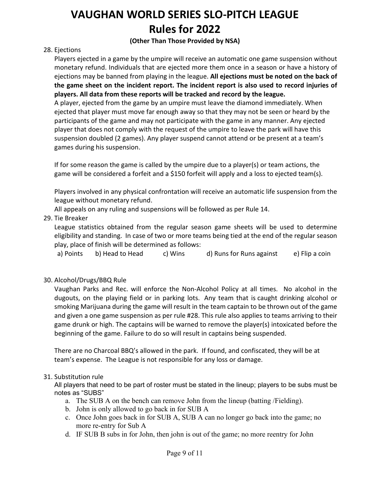### **(Other Than Those Provided by NSA)**

### 28. Ejections

Players ejected in a game by the umpire will receive an automatic one game suspension without monetary refund. Individuals that are ejected more them once in a season or have a history of ejections may be banned from playing in the league. **All ejections must be noted on the back of the game sheet on the incident report. The incident report is also used to record injuries of players. All data from these reports will be tracked and record by the league.**

A player, ejected from the game by an umpire must leave the diamond immediately. When ejected that player must move far enough away so that they may not be seen or heard by the participants of the game and may not participate with the game in any manner. Any ejected player that does not comply with the request of the umpire to leave the park will have this suspension doubled (2 games). Any player suspend cannot attend or be present at a team's games during his suspension.

If for some reason the game is called by the umpire due to a player(s) or team actions, the game will be considered a forfeit and a \$150 forfeit will apply and a loss to ejected team(s).

Players involved in any physical confrontation will receive an automatic life suspension from the league without monetary refund.

All appeals on any ruling and suspensions will be followed as per Rule 14.

### 29. Tie Breaker

League statistics obtained from the regular season game sheets will be used to determine eligibility and standing. In case of two or more teams being tied at the end of the regular season play, place of finish will be determined as follows:

a) Points b) Head to Head c) Wins d) Runs for Runs against e) Flip a coin

### 30. Alcohol/Drugs/BBQ Rule

Vaughan Parks and Rec. will enforce the Non-Alcohol Policy at all times. No alcohol in the dugouts, on the playing field or in parking lots. Any team that is caught drinking alcohol or smoking Marijuana during the game will result in the team captain to be thrown out of the game and given a one game suspension as per rule #28. This rule also applies to teams arriving to their game drunk or high. The captains will be warned to remove the player(s) intoxicated before the beginning of the game. Failure to do so will result in captains being suspended.

There are no Charcoal BBQ's allowed in the park. If found, and confiscated, they will be at team's expense. The League is not responsible for any loss or damage.

#### 31. Substitution rule

All players that need to be part of roster must be stated in the lineup; players to be subs must be notes as "SUBS"

- a. The SUB A on the bench can remove John from the lineup (batting /Fielding).
- b. John is only allowed to go back in for SUB A
- c. Once John goes back in for SUB A, SUB A can no longer go back into the game; no more re-entry for Sub A
- d. IF SUB B subs in for John, then john is out of the game; no more reentry for John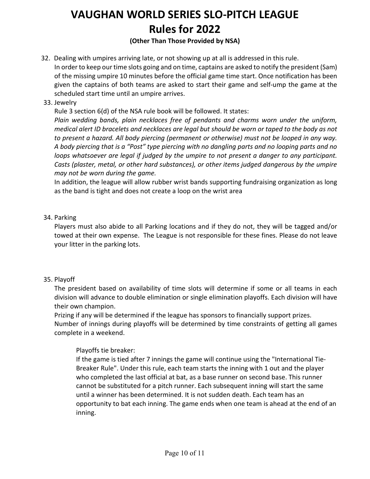### **(Other Than Those Provided by NSA)**

- 32. Dealing with umpires arriving late, or not showing up at all is addressed in this rule. In order to keep our time slots going and on time, captains are asked to notify the president (Sam) of the missing umpire 10 minutes before the official game time start. Once notification has been given the captains of both teams are asked to start their game and self-ump the game at the scheduled start time until an umpire arrives.
- 33. Jewelry

Rule 3 section 6(d) of the NSA rule book will be followed. It states:

*Plain wedding bands, plain necklaces free of pendants and charms worn under the uniform, medical alert ID bracelets and necklaces are legal but should be worn or taped to the body as not to present a hazard. All body piercing (permanent or otherwise) must not be looped in any way. A body piercing that is a "Post" type piercing with no dangling parts and no looping parts and no loops whatsoever are legal if judged by the umpire to not present a danger to any participant. Casts (plaster, metal, or other hard substances), or other items judged dangerous by the umpire may not be worn during the game.*

In addition, the league will allow rubber wrist bands supporting fundraising organization as long as the band is tight and does not create a loop on the wrist area

### 34. Parking

Players must also abide to all Parking locations and if they do not, they will be tagged and/or towed at their own expense. The League is not responsible for these fines. Please do not leave your litter in the parking lots.

### 35. Playoff

The president based on availability of time slots will determine if some or all teams in each division will advance to double elimination or single elimination playoffs. Each division will have their own champion.

Prizing if any will be determined if the league has sponsors to financially support prizes. Number of innings during playoffs will be determined by time constraints of getting all games complete in a weekend.

### Playoffs tie breaker:

If the game is tied after 7 innings the game will continue using the "International Tie-Breaker Rule". Under this rule, each team starts the inning with 1 out and the player who completed the last official at bat, as a base runner on second base. This runner cannot be substituted for a pitch runner. Each subsequent inning will start the same until a winner has been determined. It is not sudden death. Each team has an opportunity to bat each inning. The game ends when one team is ahead at the end of an inning.